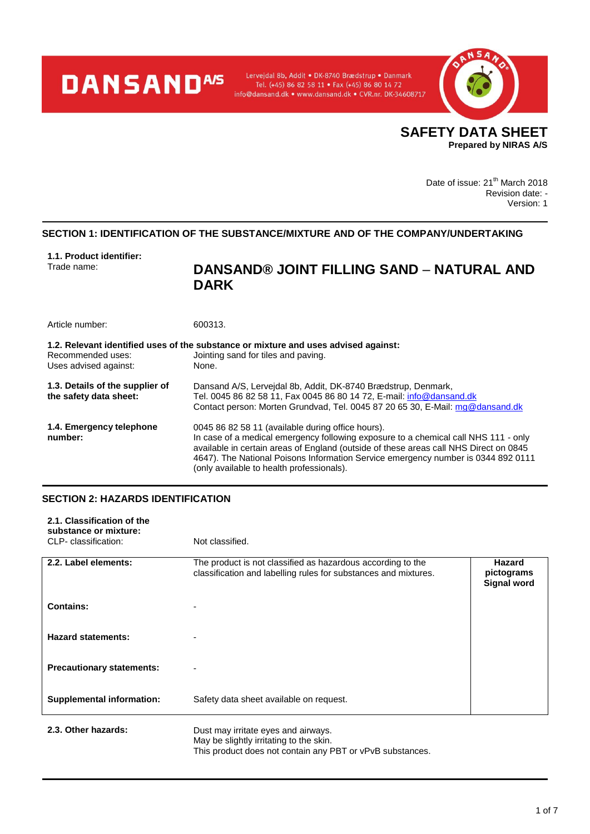# **DANSANDA/S**

Lervejdal 8b, Addit · DK-8740 Brædstrup · Danmark Tel. (+45) 86 82 58 11 • Fax (+45) 86 80 14 72<br>Tel. (+45) 86 82 58 11 • Fax (+45) 86 80 14 72<br>info@dansand.dk • www.dansand.dk • CVR.nr. DK-34608717



Date of issue: 21<sup>th</sup> March 2018 Revision date: - Version: 1

# **SECTION 1: IDENTIFICATION OF THE SUBSTANCE/MIXTURE AND OF THE COMPANY/UNDERTAKING**

**1.1. Product identifier:**

# DANSAND® JOINT FILLING SAND – NATURAL AND **DARK**

| Article number:                                           | 600313.                                                                                                                                                                                                                                                                                                                                                             |
|-----------------------------------------------------------|---------------------------------------------------------------------------------------------------------------------------------------------------------------------------------------------------------------------------------------------------------------------------------------------------------------------------------------------------------------------|
| Recommended uses:<br>Uses advised against:                | 1.2. Relevant identified uses of the substance or mixture and uses advised against:<br>Jointing sand for tiles and paving.<br>None.                                                                                                                                                                                                                                 |
| 1.3. Details of the supplier of<br>the safety data sheet: | Dansand A/S, Lerveidal 8b, Addit, DK-8740 Brædstrup, Denmark,<br>Tel. 0045 86 82 58 11, Fax 0045 86 80 14 72, E-mail: info@dansand.dk<br>Contact person: Morten Grundvad, Tel. 0045 87 20 65 30, E-Mail: mg@dansand.dk                                                                                                                                              |
| 1.4. Emergency telephone<br>number:                       | 0045 86 82 58 11 (available during office hours).<br>In case of a medical emergency following exposure to a chemical call NHS 111 - only<br>available in certain areas of England (outside of these areas call NHS Direct on 0845<br>4647). The National Poisons Information Service emergency number is 0344 892 0111<br>(only available to health professionals). |

#### **SECTION 2: HAZARDS IDENTIFICATION**

| 2.1. Classification of the<br>substance or mixture:<br>CLP- classification: | Not classified.                                                                                                                |                                            |
|-----------------------------------------------------------------------------|--------------------------------------------------------------------------------------------------------------------------------|--------------------------------------------|
|                                                                             |                                                                                                                                |                                            |
| 2.2. Label elements:                                                        | The product is not classified as hazardous according to the<br>classification and labelling rules for substances and mixtures. | Hazard<br>pictograms<br><b>Signal word</b> |
| <b>Contains:</b>                                                            | -                                                                                                                              |                                            |
| <b>Hazard statements:</b>                                                   |                                                                                                                                |                                            |
| <b>Precautionary statements:</b>                                            | $\overline{\phantom{0}}$                                                                                                       |                                            |
| <b>Supplemental information:</b>                                            | Safety data sheet available on request.                                                                                        |                                            |
| 2.3. Other hazards:                                                         | Dust may irritate eyes and airways.                                                                                            |                                            |

May be slightly irritating to the skin.

This product does not contain any PBT or vPvB substances.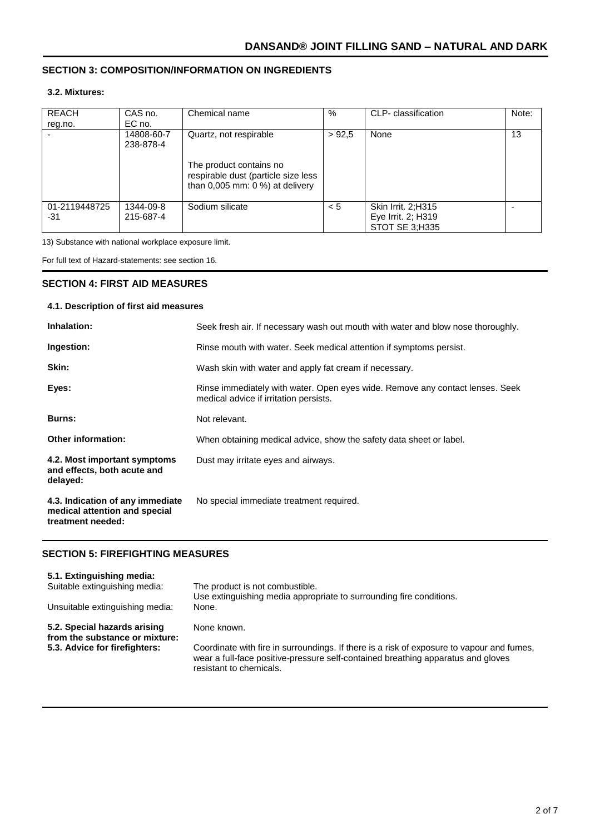# **SECTION 3: COMPOSITION/INFORMATION ON INGREDIENTS**

## **3.2. Mixtures:**

| <b>REACH</b><br>reg.no. | CAS no.<br>EC no.       | Chemical name                                                                                        | %     | CLP- classification                                        | Note: |
|-------------------------|-------------------------|------------------------------------------------------------------------------------------------------|-------|------------------------------------------------------------|-------|
|                         | 14808-60-7<br>238-878-4 | Quartz, not respirable                                                                               | >92.5 | None                                                       | 13    |
|                         |                         | The product contains no<br>respirable dust (particle size less<br>than $0.005$ mm: $0\%$ at delivery |       |                                                            |       |
| 01-2119448725<br>-31    | 1344-09-8<br>215-687-4  | Sodium silicate                                                                                      | < 5   | Skin Irrit. 2;H315<br>Eye Irrit. 2; H319<br>STOT SE 3:H335 |       |

13) Substance with national workplace exposure limit.

For full text of Hazard-statements: see section 16.

#### **SECTION 4: FIRST AID MEASURES**

#### **4.1. Description of first aid measures**

| Inhalation:                                                                            | Seek fresh air. If necessary wash out mouth with water and blow nose thoroughly.                                        |
|----------------------------------------------------------------------------------------|-------------------------------------------------------------------------------------------------------------------------|
| Ingestion:                                                                             | Rinse mouth with water. Seek medical attention if symptoms persist.                                                     |
| Skin:                                                                                  | Wash skin with water and apply fat cream if necessary.                                                                  |
| Eyes:                                                                                  | Rinse immediately with water. Open eyes wide. Remove any contact lenses. Seek<br>medical advice if irritation persists. |
| Burns:                                                                                 | Not relevant.                                                                                                           |
| <b>Other information:</b>                                                              | When obtaining medical advice, show the safety data sheet or label.                                                     |
| 4.2. Most important symptoms<br>and effects, both acute and<br>delayed:                | Dust may irritate eyes and airways.                                                                                     |
| 4.3. Indication of any immediate<br>medical attention and special<br>treatment needed: | No special immediate treatment required.                                                                                |

#### **SECTION 5: FIREFIGHTING MEASURES**

| 5.1. Extinguishing media:                                      |                                                                                                                                                                                                          |
|----------------------------------------------------------------|----------------------------------------------------------------------------------------------------------------------------------------------------------------------------------------------------------|
| Suitable extinguishing media:                                  | The product is not combustible.<br>Use extinguishing media appropriate to surrounding fire conditions.                                                                                                   |
| Unsuitable extinguishing media:                                | None.                                                                                                                                                                                                    |
| 5.2. Special hazards arising<br>from the substance or mixture: | None known.                                                                                                                                                                                              |
| 5.3. Advice for firefighters:                                  | Coordinate with fire in surroundings. If there is a risk of exposure to vapour and fumes,<br>wear a full-face positive-pressure self-contained breathing apparatus and gloves<br>resistant to chemicals. |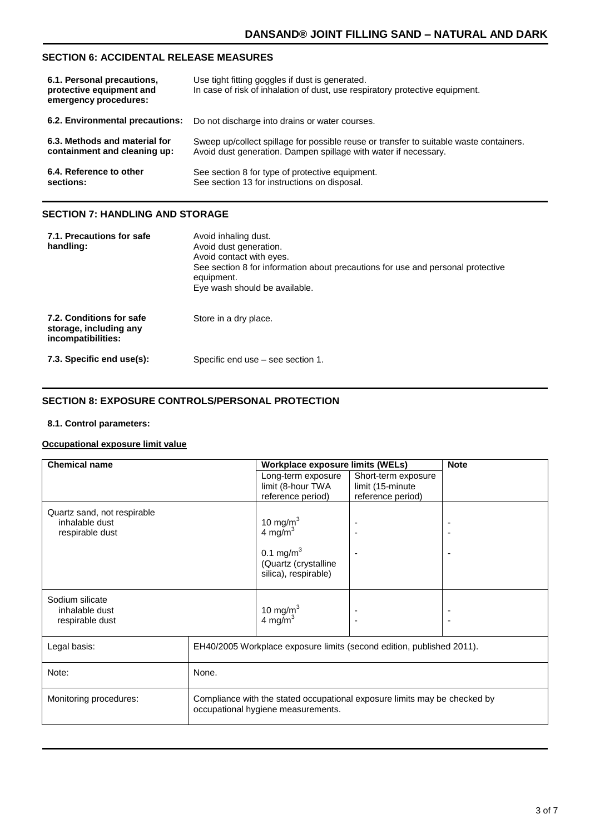# **SECTION 6: ACCIDENTAL RELEASE MEASURES**

| 6.1. Personal precautions,<br>protective equipment and<br>emergency procedures: | Use tight fitting goggles if dust is generated.<br>In case of risk of inhalation of dust, use respiratory protective equipment. |
|---------------------------------------------------------------------------------|---------------------------------------------------------------------------------------------------------------------------------|
| 6.2. Environmental precautions:                                                 | Do not discharge into drains or water courses.                                                                                  |
| 6.3. Methods and material for                                                   | Sweep up/collect spillage for possible reuse or transfer to suitable waste containers.                                          |
| containment and cleaning up:                                                    | Avoid dust generation. Dampen spillage with water if necessary.                                                                 |
| 6.4. Reference to other                                                         | See section 8 for type of protective equipment.                                                                                 |
| sections:                                                                       | See section 13 for instructions on disposal.                                                                                    |

# **SECTION 7: HANDLING AND STORAGE**

| 7.1. Precautions for safe<br>handling:                                   | Avoid inhaling dust.<br>Avoid dust generation.<br>Avoid contact with eyes.<br>See section 8 for information about precautions for use and personal protective<br>equipment.<br>Eye wash should be available. |
|--------------------------------------------------------------------------|--------------------------------------------------------------------------------------------------------------------------------------------------------------------------------------------------------------|
| 7.2. Conditions for safe<br>storage, including any<br>incompatibilities: | Store in a dry place.                                                                                                                                                                                        |
| 7.3. Specific end use(s):                                                | Specific end use – see section 1.                                                                                                                                                                            |

#### **SECTION 8: EXPOSURE CONTROLS/PERSONAL PROTECTION**

#### **8.1. Control parameters:**

#### **Occupational exposure limit value**

| Compliance with the stated occupational exposure limits may be checked by |
|---------------------------------------------------------------------------|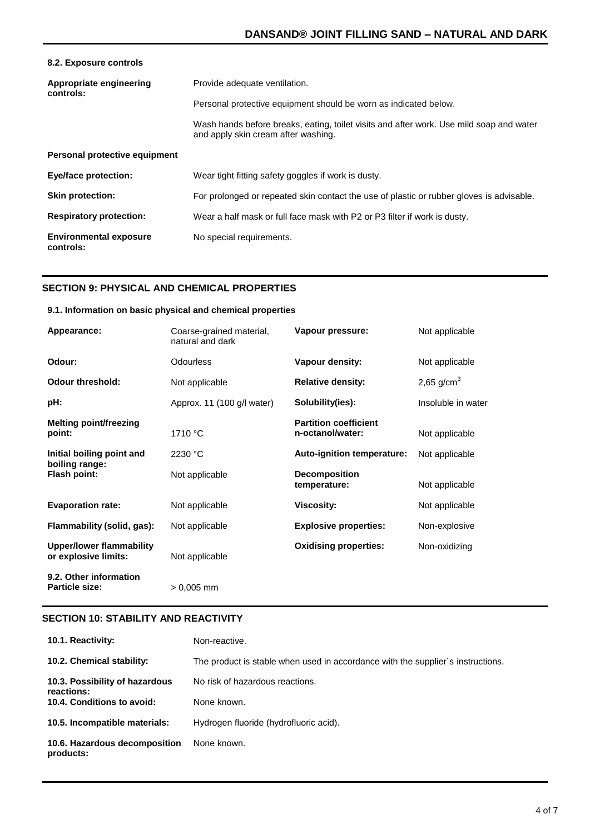| 8.2. Exposure controls                     |                                                                                                                                |
|--------------------------------------------|--------------------------------------------------------------------------------------------------------------------------------|
| Appropriate engineering<br>controls:       | Provide adequate ventilation.                                                                                                  |
|                                            | Personal protective equipment should be worn as indicated below.                                                               |
|                                            | Wash hands before breaks, eating, toilet visits and after work. Use mild soap and water<br>and apply skin cream after washing. |
| Personal protective equipment              |                                                                                                                                |
| <b>Eye/face protection:</b>                | Wear tight fitting safety goggles if work is dusty.                                                                            |
| <b>Skin protection:</b>                    | For prolonged or repeated skin contact the use of plastic or rubber gloves is advisable.                                       |
| <b>Respiratory protection:</b>             | Wear a half mask or full face mask with P2 or P3 filter if work is dusty.                                                      |
| <b>Environmental exposure</b><br>controls: | No special requirements.                                                                                                       |

# **SECTION 9: PHYSICAL AND CHEMICAL PROPERTIES**

#### **9.1. Information on basic physical and chemical properties**

| Appearance:                                             | Coarse-grained material,<br>natural and dark | Vapour pressure:                                 | Not applicable     |
|---------------------------------------------------------|----------------------------------------------|--------------------------------------------------|--------------------|
| Odour:                                                  | Odourless                                    | Vapour density:                                  | Not applicable     |
| <b>Odour threshold:</b>                                 | Not applicable                               | <b>Relative density:</b>                         | 2,65 $g/cm3$       |
| pH:                                                     | Approx. 11 (100 g/l water)                   | Solubility(ies):                                 | Insoluble in water |
| Melting point/freezing<br>point:                        | 1710 °C                                      | <b>Partition coefficient</b><br>n-octanol/water: | Not applicable     |
| Initial boiling point and<br>boiling range:             | 2230 °C                                      | Auto-ignition temperature:                       | Not applicable     |
| Flash point:                                            | Not applicable                               | <b>Decomposition</b><br>temperature:             | Not applicable     |
| <b>Evaporation rate:</b>                                | Not applicable                               | <b>Viscosity:</b>                                | Not applicable     |
| Flammability (solid, gas):                              | Not applicable                               | <b>Explosive properties:</b>                     | Non-explosive      |
| <b>Upper/lower flammability</b><br>or explosive limits: | Not applicable                               | <b>Oxidising properties:</b>                     | Non-oxidizing      |
| 9.2. Other information<br><b>Particle size:</b>         | $> 0,005$ mm                                 |                                                  |                    |

#### **SECTION 10: STABILITY AND REACTIVITY**

| 10.1. Reactivity:                            | Non-reactive.                                                                   |
|----------------------------------------------|---------------------------------------------------------------------------------|
| 10.2. Chemical stability:                    | The product is stable when used in accordance with the supplier's instructions. |
| 10.3. Possibility of hazardous<br>reactions: | No risk of hazardous reactions.                                                 |
| 10.4. Conditions to avoid:                   | None known.                                                                     |
| 10.5. Incompatible materials:                | Hydrogen fluoride (hydrofluoric acid).                                          |
| 10.6. Hazardous decomposition<br>products:   | None known.                                                                     |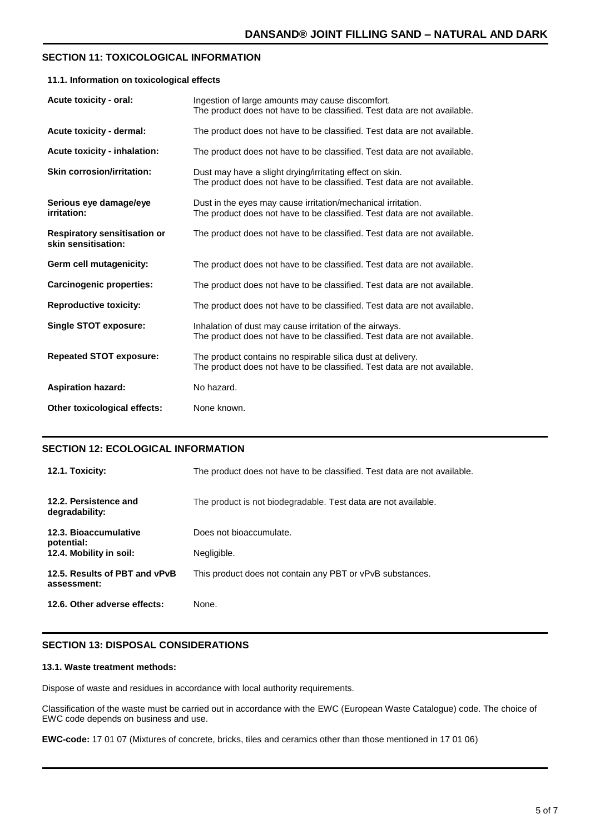#### **SECTION 11: TOXICOLOGICAL INFORMATION**

#### **11.1. Information on toxicological effects**

| Acute toxicity - oral:                                     | Ingestion of large amounts may cause discomfort.<br>The product does not have to be classified. Test data are not available.             |
|------------------------------------------------------------|------------------------------------------------------------------------------------------------------------------------------------------|
| Acute toxicity - dermal:                                   | The product does not have to be classified. Test data are not available.                                                                 |
| Acute toxicity - inhalation:                               | The product does not have to be classified. Test data are not available.                                                                 |
| <b>Skin corrosion/irritation:</b>                          | Dust may have a slight drying/irritating effect on skin.<br>The product does not have to be classified. Test data are not available.     |
| Serious eye damage/eye<br>irritation:                      | Dust in the eyes may cause irritation/mechanical irritation.<br>The product does not have to be classified. Test data are not available. |
| <b>Respiratory sensitisation or</b><br>skin sensitisation: | The product does not have to be classified. Test data are not available.                                                                 |
| Germ cell mutagenicity:                                    | The product does not have to be classified. Test data are not available.                                                                 |
| <b>Carcinogenic properties:</b>                            | The product does not have to be classified. Test data are not available.                                                                 |
| <b>Reproductive toxicity:</b>                              | The product does not have to be classified. Test data are not available.                                                                 |
| <b>Single STOT exposure:</b>                               | Inhalation of dust may cause irritation of the airways.<br>The product does not have to be classified. Test data are not available.      |
| <b>Repeated STOT exposure:</b>                             | The product contains no respirable silica dust at delivery.<br>The product does not have to be classified. Test data are not available.  |
| <b>Aspiration hazard:</b>                                  | No hazard.                                                                                                                               |
| Other toxicological effects:                               | None known.                                                                                                                              |

#### **SECTION 12: ECOLOGICAL INFORMATION**

| 12.1. Toxicity:                              | The product does not have to be classified. Test data are not available. |
|----------------------------------------------|--------------------------------------------------------------------------|
| 12.2. Persistence and<br>degradability:      | The product is not biodegradable. Test data are not available.           |
| 12.3. Bioaccumulative<br>potential:          | Does not bioaccumulate.                                                  |
| 12.4. Mobility in soil:                      | Negligible.                                                              |
| 12.5. Results of PBT and vPvB<br>assessment: | This product does not contain any PBT or vPvB substances.                |
| 12.6. Other adverse effects:                 | None.                                                                    |

#### **SECTION 13: DISPOSAL CONSIDERATIONS**

#### **13.1. Waste treatment methods:**

Dispose of waste and residues in accordance with local authority requirements.

Classification of the waste must be carried out in accordance with the EWC (European Waste Catalogue) code. The choice of EWC code depends on business and use.

**EWC-code:** 17 01 07 (Mixtures of concrete, bricks, tiles and ceramics other than those mentioned in 17 01 06)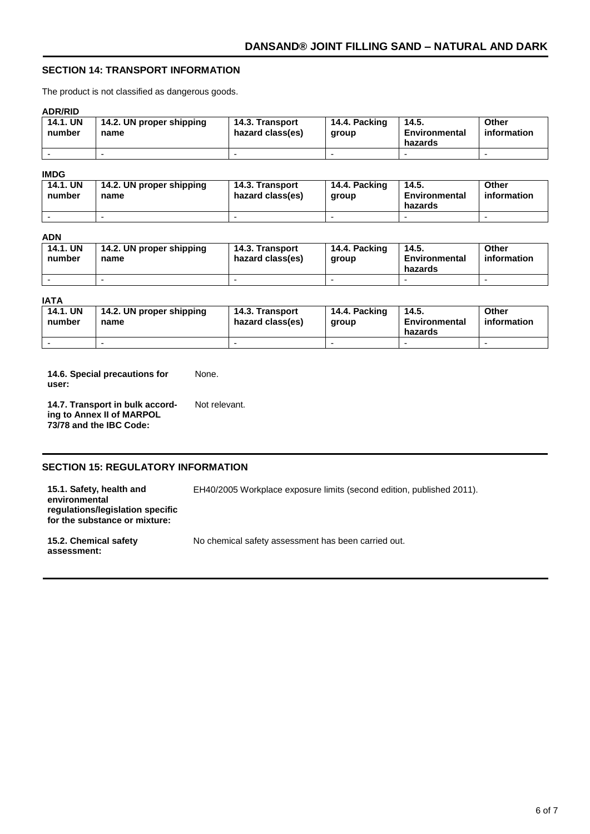# **SECTION 14: TRANSPORT INFORMATION**

The product is not classified as dangerous goods.

#### **ADR/RID**

| <b>14.1. UN</b><br>number | 14.2. UN proper shipping<br>name | 14.3. Transport<br>hazard class(es) | 14.4. Packing<br>aroup | 14.5.<br>Environmental<br>hazards | Other<br>information |
|---------------------------|----------------------------------|-------------------------------------|------------------------|-----------------------------------|----------------------|
|                           |                                  |                                     |                        |                                   |                      |

#### **IMDG**

| 14.1. UN<br>number | 14.2. UN proper shipping<br>name | 14.3. Transport<br>hazard class(es) | 14.4. Packing<br>aroup | 14.5.<br>Environmental<br>hazards | Other<br>information |
|--------------------|----------------------------------|-------------------------------------|------------------------|-----------------------------------|----------------------|
|                    |                                  |                                     |                        |                                   |                      |

#### **ADN**

| <b>14.1. UN</b><br>number | 14.2. UN proper shipping<br>name | 14.3. Transport<br>hazard class(es) | 14.4. Packing<br>group | 14.5.<br>Environmental<br>hazards | <b>Other</b><br>information |
|---------------------------|----------------------------------|-------------------------------------|------------------------|-----------------------------------|-----------------------------|
|                           | -                                |                                     |                        |                                   |                             |

#### **IATA**

| <b>14.1. UN</b><br>number | 14.2. UN proper shipping<br>name | 14.3. Transport<br>hazard class(es) | 14.4. Packing<br>aroup | 14.5.<br>Environmental<br>hazards | Other<br>information |
|---------------------------|----------------------------------|-------------------------------------|------------------------|-----------------------------------|----------------------|
|                           | -                                |                                     |                        |                                   |                      |

**14.6. Special precautions for user:** None.

**14.7. Transport in bulk according to Annex II of MARPOL 73/78 and the IBC Code:** Not relevant.

# **SECTION 15: REGULATORY INFORMATION**

**15.1. Safety, health and environmental regulations/legislation specific for the substance or mixture:**

**15.2. Chemical safety assessment:**

No chemical safety assessment has been carried out.

EH40/2005 Workplace exposure limits (second edition, published 2011).